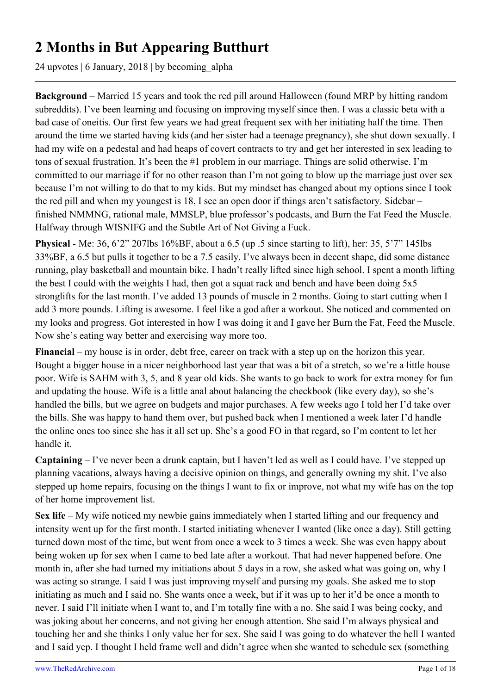# **2 Months in But Appearing Butthurt**

24 upvotes | 6 January, 2018 | by becoming\_alpha

**Background** – Married 15 years and took the red pill around Halloween (found MRP by hitting random subreddits). I've been learning and focusing on improving myself since then. I was a classic beta with a bad case of oneitis. Our first few years we had great frequent sex with her initiating half the time. Then around the time we started having kids (and her sister had a teenage pregnancy), she shut down sexually. I had my wife on a pedestal and had heaps of covert contracts to try and get her interested in sex leading to tons of sexual frustration. It's been the #1 problem in our marriage. Things are solid otherwise. I'm committed to our marriage if for no other reason than I'm not going to blow up the marriage just over sex because I'm not willing to do that to my kids. But my mindset has changed about my options since I took the red pill and when my youngest is 18, I see an open door if things aren't satisfactory. Sidebar – finished NMMNG, rational male, MMSLP, blue professor's podcasts, and Burn the Fat Feed the Muscle. Halfway through WISNIFG and the Subtle Art of Not Giving a Fuck.

**Physical** - Me: 36, 6'2" 207lbs 16%BF, about a 6.5 (up .5 since starting to lift), her: 35, 5'7" 145lbs 33%BF, a 6.5 but pulls it together to be a 7.5 easily. I've always been in decent shape, did some distance running, play basketball and mountain bike. I hadn't really lifted since high school. I spent a month lifting the best I could with the weights I had, then got a squat rack and bench and have been doing 5x5 stronglifts for the last month. I've added 13 pounds of muscle in 2 months. Going to start cutting when I add 3 more pounds. Lifting is awesome. I feel like a god after a workout. She noticed and commented on my looks and progress. Got interested in how I was doing it and I gave her Burn the Fat, Feed the Muscle. Now she's eating way better and exercising way more too.

**Financial** – my house is in order, debt free, career on track with a step up on the horizon this year. Bought a bigger house in a nicer neighborhood last year that was a bit of a stretch, so we're a little house poor. Wife is SAHM with 3, 5, and 8 year old kids. She wants to go back to work for extra money for fun and updating the house. Wife is a little anal about balancing the checkbook (like every day), so she's handled the bills, but we agree on budgets and major purchases. A few weeks ago I told her I'd take over the bills. She was happy to hand them over, but pushed back when I mentioned a week later I'd handle the online ones too since she has it all set up. She's a good FO in that regard, so I'm content to let her handle it.

**Captaining** – I've never been a drunk captain, but I haven't led as well as I could have. I've stepped up planning vacations, always having a decisive opinion on things, and generally owning my shit. I've also stepped up home repairs, focusing on the things I want to fix or improve, not what my wife has on the top of her home improvement list.

**Sex life** – My wife noticed my newbie gains immediately when I started lifting and our frequency and intensity went up for the first month. I started initiating whenever I wanted (like once a day). Still getting turned down most of the time, but went from once a week to 3 times a week. She was even happy about being woken up for sex when I came to bed late after a workout. That had never happened before. One month in, after she had turned my initiations about 5 days in a row, she asked what was going on, why I was acting so strange. I said I was just improving myself and pursing my goals. She asked me to stop initiating as much and I said no. She wants once a week, but if it was up to her it'd be once a month to never. I said I'll initiate when I want to, and I'm totally fine with a no. She said I was being cocky, and was joking about her concerns, and not giving her enough attention. She said I'm always physical and touching her and she thinks I only value her for sex. She said I was going to do whatever the hell I wanted and I said yep. I thought I held frame well and didn't agree when she wanted to schedule sex (something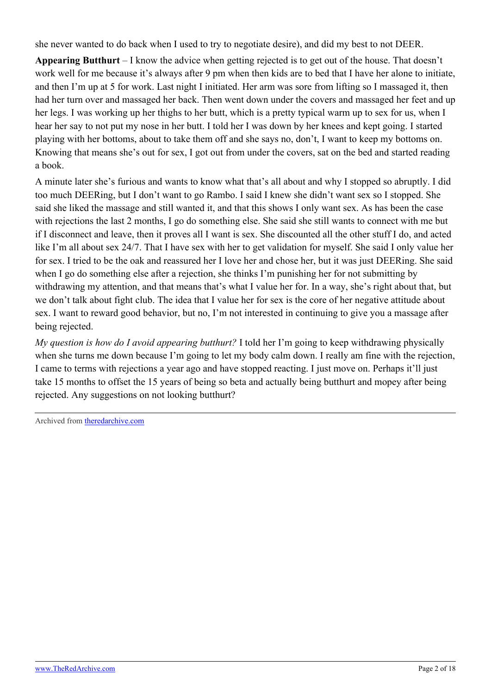she never wanted to do back when I used to try to negotiate desire), and did my best to not DEER.

**Appearing Butthurt** – I know the advice when getting rejected is to get out of the house. That doesn't work well for me because it's always after 9 pm when then kids are to bed that I have her alone to initiate, and then I'm up at 5 for work. Last night I initiated. Her arm was sore from lifting so I massaged it, then had her turn over and massaged her back. Then went down under the covers and massaged her feet and up her legs. I was working up her thighs to her butt, which is a pretty typical warm up to sex for us, when I hear her say to not put my nose in her butt. I told her I was down by her knees and kept going. I started playing with her bottoms, about to take them off and she says no, don't, I want to keep my bottoms on. Knowing that means she's out for sex, I got out from under the covers, sat on the bed and started reading a book.

A minute later she's furious and wants to know what that's all about and why I stopped so abruptly. I did too much DEERing, but I don't want to go Rambo. I said I knew she didn't want sex so I stopped. She said she liked the massage and still wanted it, and that this shows I only want sex. As has been the case with rejections the last 2 months, I go do something else. She said she still wants to connect with me but if I disconnect and leave, then it proves all I want is sex. She discounted all the other stuff I do, and acted like I'm all about sex 24/7. That I have sex with her to get validation for myself. She said I only value her for sex. I tried to be the oak and reassured her I love her and chose her, but it was just DEERing. She said when I go do something else after a rejection, she thinks I'm punishing her for not submitting by withdrawing my attention, and that means that's what I value her for. In a way, she's right about that, but we don't talk about fight club. The idea that I value her for sex is the core of her negative attitude about sex. I want to reward good behavior, but no, I'm not interested in continuing to give you a massage after being rejected.

*My question is how do I avoid appearing butthurt?* I told her I'm going to keep withdrawing physically when she turns me down because I'm going to let my body calm down. I really am fine with the rejection, I came to terms with rejections a year ago and have stopped reacting. I just move on. Perhaps it'll just take 15 months to offset the 15 years of being so beta and actually being butthurt and mopey after being rejected. Any suggestions on not looking butthurt?

Archived from [theredarchive.com](https://theredarchive.com/r/MarriedRedPill/2-months-in-but-appearing-butthurt.198237)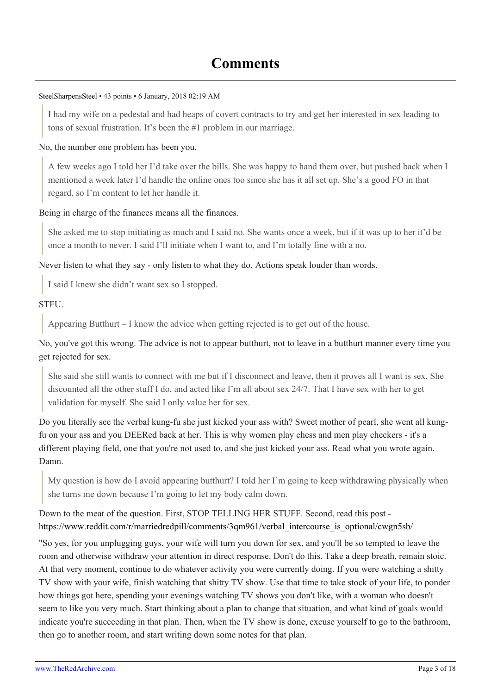## **Comments**

#### [SteelSharpensSteel](https://old.reddit.com/user/SteelSharpensSteel) • 43 points • 6 January, 2018 02:19 AM

I had my wife on a pedestal and had heaps of covert contracts to try and get her interested in sex leading to tons of sexual frustration. It's been the #1 problem in our marriage.

#### No, the number one problem has been you.

A few weeks ago I told her I'd take over the bills. She was happy to hand them over, but pushed back when I mentioned a week later I'd handle the online ones too since she has it all set up. She's a good FO in that regard, so I'm content to let her handle it.

## Being in charge of the finances means all the finances.

She asked me to stop initiating as much and I said no. She wants once a week, but if it was up to her it'd be once a month to never. I said I'll initiate when I want to, and I'm totally fine with a no.

Never listen to what they say - only listen to what they do. Actions speak louder than words.

I said I knew she didn't want sex so I stopped.

## STFU.

Appearing Butthurt  $-I$  know the advice when getting rejected is to get out of the house.

No, you've got this wrong. The advice is not to appear butthurt, not to leave in a butthurt manner every time you get rejected for sex.

She said she still wants to connect with me but if I disconnect and leave, then it proves all I want is sex. She discounted all the other stuff I do, and acted like I'm all about sex 24/7. That I have sex with her to get validation for myself. She said I only value her for sex.

Do you literally see the verbal kung-fu she just kicked your ass with? Sweet mother of pearl, she went all kungfu on your ass and you DEERed back at her. This is why women play chess and men play checkers - it's a different playing field, one that you're not used to, and she just kicked your ass. Read what you wrote again. Damn.

My question is how do I avoid appearing butthurt? I told her I'm going to keep withdrawing physically when she turns me down because I'm going to let my body calm down.

## Down to the meat of the question. First, STOP TELLING HER STUFF. Second, read this post [https://www.reddit.com/r/marriedredpill/comments/3qm961/verbal\\_intercourse\\_is\\_optional/cwgn5sb/](https://www.reddit.com/r/marriedredpill/comments/3qm961/verbal_intercourse_is_optional/cwgn5sb/)

"So yes, for you unplugging guys, your wife will turn you down for sex, and you'll be so tempted to leave the room and otherwise withdraw your attention in direct response. Don't do this. Take a deep breath, remain stoic. At that very moment, continue to do whatever activity you were currently doing. If you were watching a shitty TV show with your wife, finish watching that shitty TV show. Use that time to take stock of your life, to ponder how things got here, spending your evenings watching TV shows you don't like, with a woman who doesn't seem to like you very much. Start thinking about a plan to change that situation, and what kind of goals would indicate you're succeeding in that plan. Then, when the TV show is done, excuse yourself to go to the bathroom, then go to another room, and start writing down some notes for that plan.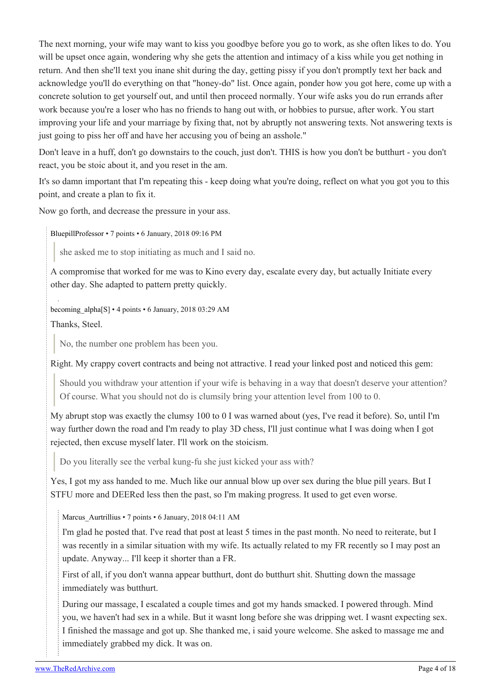The next morning, your wife may want to kiss you goodbye before you go to work, as she often likes to do. You will be upset once again, wondering why she gets the attention and intimacy of a kiss while you get nothing in return. And then she'll text you inane shit during the day, getting pissy if you don't promptly text her back and acknowledge you'll do everything on that "honey-do" list. Once again, ponder how you got here, come up with a concrete solution to get yourself out, and until then proceed normally. Your wife asks you do run errands after work because you're a loser who has no friends to hang out with, or hobbies to pursue, after work. You start improving your life and your marriage by fixing that, not by abruptly not answering texts. Not answering texts is just going to piss her off and have her accusing you of being an asshole."

Don't leave in a huff, don't go downstairs to the couch, just don't. THIS is how you don't be butthurt - you don't react, you be stoic about it, and you reset in the am.

It's so damn important that I'm repeating this - keep doing what you're doing, reflect on what you got you to this point, and create a plan to fix it.

Now go forth, and decrease the pressure in your ass.

[BluepillProfessor](https://old.reddit.com/user/BluepillProfessor) • 7 points • 6 January, 2018 09:16 PM

she asked me to stop initiating as much and I said no.

A compromise that worked for me was to Kino every day, escalate every day, but actually Initiate every other day. She adapted to pattern pretty quickly.

[becoming\\_alpha](https://old.reddit.com/user/becoming_alpha)[\[S\]](https://theredarchive.com/r/marriedredpill/comments/7og8mr/2_months_in_but_appearing_butthurt/) • 4 points • 6 January, 2018 03:29 AM

Thanks, Steel.

No, the number one problem has been you.

Right. My crappy covert contracts and being not attractive. I read your linked post and noticed this gem:

Should you withdraw your attention if your wife is behaving in a way that doesn't deserve your attention? Of course. What you should not do is clumsily bring your attention level from 100 to 0.

My abrupt stop was exactly the clumsy 100 to 0 I was warned about (yes, I've read it before). So, until I'm way further down the road and I'm ready to play 3D chess, I'll just continue what I was doing when I got rejected, then excuse myself later. I'll work on the stoicism.

Do you literally see the verbal kung-fu she just kicked your ass with?

Yes, I got my ass handed to me. Much like our annual blow up over sex during the blue pill years. But I STFU more and DEERed less then the past, so I'm making progress. It used to get even worse.

Marcus Aurtrillius • 7 points • 6 January, 2018 04:11 AM

I'm glad he posted that. I've read that post at least 5 times in the past month. No need to reiterate, but I was recently in a similar situation with my wife. Its actually related to my FR recently so I may post an update. Anyway... I'll keep it shorter than a FR.

First of all, if you don't wanna appear butthurt, dont do butthurt shit. Shutting down the massage immediately was butthurt.

During our massage, I escalated a couple times and got my hands smacked. I powered through. Mind you, we haven't had sex in a while. But it wasnt long before she was dripping wet. I wasnt expecting sex. I finished the massage and got up. She thanked me, i said youre welcome. She asked to massage me and immediately grabbed my dick. It was on.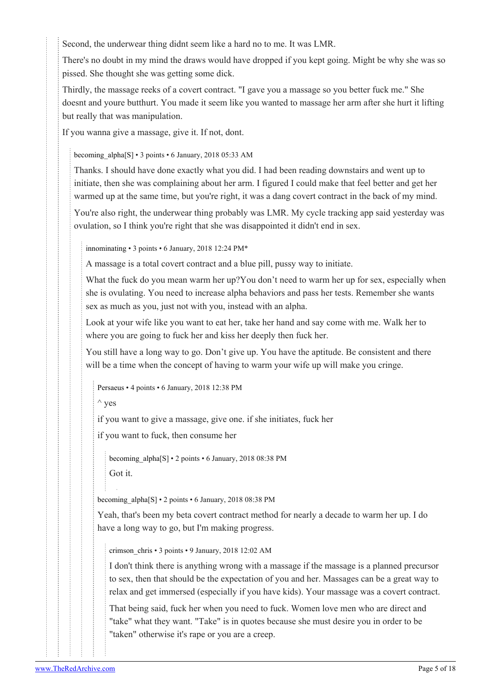Second, the underwear thing didnt seem like a hard no to me. It was LMR.

There's no doubt in my mind the draws would have dropped if you kept going. Might be why she was so pissed. She thought she was getting some dick.

Thirdly, the massage reeks of a covert contract. "I gave you a massage so you better fuck me." She doesnt and youre butthurt. You made it seem like you wanted to massage her arm after she hurt it lifting but really that was manipulation.

If you wanna give a massage, give it. If not, dont.

[becoming\\_alpha\[](https://old.reddit.com/user/becoming_alpha)[S](https://theredarchive.com/r/marriedredpill/comments/7og8mr/2_months_in_but_appearing_butthurt/)] • 3 points • 6 January, 2018 05:33 AM

Thanks. I should have done exactly what you did. I had been reading downstairs and went up to initiate, then she was complaining about her arm. I figured I could make that feel better and get her warmed up at the same time, but you're right, it was a dang covert contract in the back of my mind.

You're also right, the underwear thing probably was LMR. My cycle tracking app said yesterday was ovulation, so I think you're right that she was disappointed it didn't end in sex.

[innominating](https://old.reddit.com/user/innominating) • 3 points • 6 January, 2018 12:24 PM\*

A massage is a total covert contract and a blue pill, pussy way to initiate.

What the fuck do you mean warm her up?You don't need to warm her up for sex, especially when she is ovulating. You need to increase alpha behaviors and pass her tests. Remember she wants sex as much as you, just not with you, instead with an alpha.

Look at your wife like you want to eat her, take her hand and say come with me. Walk her to where you are going to fuck her and kiss her deeply then fuck her.

You still have a long way to go. Don't give up. You have the aptitude. Be consistent and there will be a time when the concept of having to warm your wife up will make you cringe.

[Persaeus](https://old.reddit.com/user/Persaeus) • 4 points • 6 January, 2018 12:38 PM

 $^{\wedge}$  yes

if you want to give a massage, give one. if she initiates, fuck her

if you want to fuck, then consume her

becoming alpha[[S\]](https://theredarchive.com/r/marriedredpill/comments/7og8mr/2_months_in_but_appearing_butthurt/) • 2 points • 6 January, 2018 08:38 PM Got it.

[becoming\\_alpha](https://old.reddit.com/user/becoming_alpha)[\[S\]](https://theredarchive.com/r/marriedredpill/comments/7og8mr/2_months_in_but_appearing_butthurt/) • 2 points • 6 January, 2018 08:38 PM

Yeah, that's been my beta covert contract method for nearly a decade to warm her up. I do have a long way to go, but I'm making progress.

[crimson\\_chris](https://old.reddit.com/user/crimson_chris) • 3 points • 9 January, 2018 12:02 AM

I don't think there is anything wrong with a massage if the massage is a planned precursor to sex, then that should be the expectation of you and her. Massages can be a great way to relax and get immersed (especially if you have kids). Your massage was a covert contract. That being said, fuck her when you need to fuck. Women love men who are direct and "take" what they want. "Take" is in quotes because she must desire you in order to be

"taken" otherwise it's rape or you are a creep.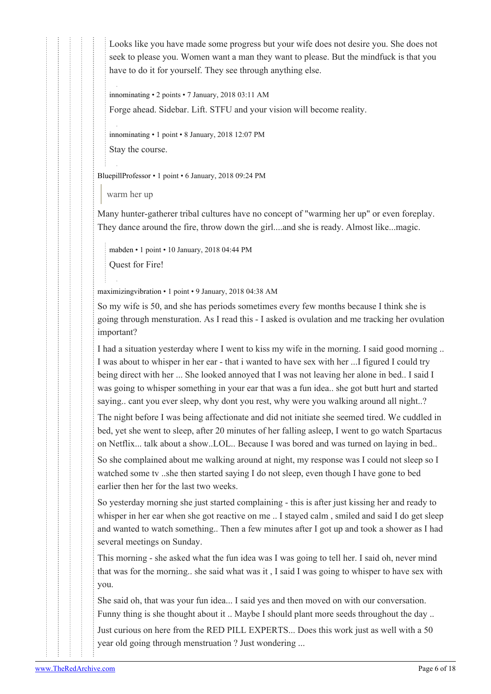Looks like you have made some progress but your wife does not desire you. She does not seek to please you. Women want a man they want to please. But the mindfuck is that you have to do it for yourself. They see through anything else.

[innominating](https://old.reddit.com/user/innominating) • 2 points • 7 January, 2018 03:11 AM

Forge ahead. Sidebar. Lift. STFU and your vision will become reality.

[innominating](https://old.reddit.com/user/innominating) • 1 point • 8 January, 2018 12:07 PM

Stay the course.

[BluepillProfessor](https://old.reddit.com/user/BluepillProfessor) • 1 point • 6 January, 2018 09:24 PM

warm her up

Many hunter-gatherer tribal cultures have no concept of "warming her up" or even foreplay. They dance around the fire, throw down the girl....and she is ready. Almost like...magic.

[mabden](https://old.reddit.com/user/mabden) • 1 point • 10 January, 2018 04:44 PM Quest for Fire!

[maximizingvibration](https://old.reddit.com/user/maximizingvibration) • 1 point • 9 January, 2018 04:38 AM

So my wife is 50, and she has periods sometimes every few months because I think she is going through mensturation. As I read this - I asked is ovulation and me tracking her ovulation important?

I had a situation yesterday where I went to kiss my wife in the morning. I said good morning .. I was about to whisper in her ear - that i wanted to have sex with her ...I figured I could try being direct with her ... She looked annoyed that I was not leaving her alone in bed.. I said I was going to whisper something in your ear that was a fun idea.. she got butt hurt and started saying.. cant you ever sleep, why dont you rest, why were you walking around all night..?

The night before I was being affectionate and did not initiate she seemed tired. We cuddled in bed, yet she went to sleep, after 20 minutes of her falling asleep, I went to go watch Spartacus on Netflix... talk about a show..LOL.. Because I was bored and was turned on laying in bed..

So she complained about me walking around at night, my response was I could not sleep so I watched some tv ..she then started saying I do not sleep, even though I have gone to bed earlier then her for the last two weeks.

So yesterday morning she just started complaining - this is after just kissing her and ready to whisper in her ear when she got reactive on me .. I stayed calm, smiled and said I do get sleep and wanted to watch something.. Then a few minutes after I got up and took a shower as I had several meetings on Sunday.

This morning - she asked what the fun idea was I was going to tell her. I said oh, never mind that was for the morning.. she said what was it , I said I was going to whisper to have sex with you.

She said oh, that was your fun idea... I said yes and then moved on with our conversation. Funny thing is she thought about it .. Maybe I should plant more seeds throughout the day ..

Just curious on here from the RED PILL EXPERTS... Does this work just as well with a 50 year old going through menstruation ? Just wondering ...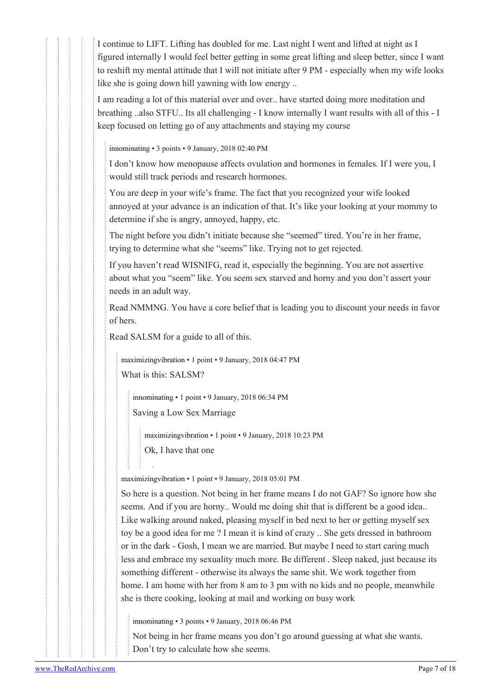I continue to LIFT. Lifting has doubled for me. Last night I went and lifted at night as I figured internally I would feel better getting in some great lifting and sleep better, since I want to reshift my mental attitude that I will not initiate after 9 PM - especially when my wife looks like she is going down hill yawning with low energy ..

I am reading a lot of this material over and over.. have started doing more meditation and breathing ..also STFU.. Its all challenging - I know internally I want results with all of this - I keep focused on letting go of any attachments and staying my course

[innominating](https://old.reddit.com/user/innominating) • 3 points • 9 January, 2018 02:40 PM

I don't know how menopause affects ovulation and hormones in females. If I were you, I would still track periods and research hormones.

You are deep in your wife's frame. The fact that you recognized your wife looked annoyed at your advance is an indication of that. It's like your looking at your mommy to determine if she is angry, annoyed, happy, etc.

The night before you didn't initiate because she "seemed" tired. You're in her frame, trying to determine what she "seems" like. Trying not to get rejected.

If you haven't read WISNIFG, read it, especially the beginning. You are not assertive about what you "seem" like. You seem sex starved and horny and you don't assert your needs in an adult way.

Read NMMNG. You have a core belief that is leading you to discount your needs in favor of hers.

Read SALSM for a guide to all of this.

[maximizingvibration](https://old.reddit.com/user/maximizingvibration) • 1 point • 9 January, 2018 04:47 PM What is this: SALSM?

[innominating](https://old.reddit.com/user/innominating) • 1 point • 9 January, 2018 06:34 PM Saving a Low Sex Marriage

[maximizingvibration](https://old.reddit.com/user/maximizingvibration) • 1 point • 9 January, 2018 10:23 PM Ok, I have that one

[maximizingvibration](https://old.reddit.com/user/maximizingvibration) • 1 point • 9 January, 2018 05:01 PM

So here is a question. Not being in her frame means I do not GAF? So ignore how she seems. And if you are horny.. Would me doing shit that is different be a good idea.. Like walking around naked, pleasing myself in bed next to her or getting myself sex toy be a good idea for me ? I mean it is kind of crazy .. She gets dressed in bathroom or in the dark - Gosh, I mean we are married. But maybe I need to start caring much less and embrace my sexuality much more. Be different . Sleep naked, just because its something different - otherwise its always the same shit. We work together from home. I am home with her from 8 am to 3 pm with no kids and no people, meanwhile she is there cooking, looking at mail and working on busy work

[innominating](https://old.reddit.com/user/innominating) • 3 points • 9 January, 2018 06:46 PM

Not being in her frame means you don't go around guessing at what she wants. Don't try to calculate how she seems.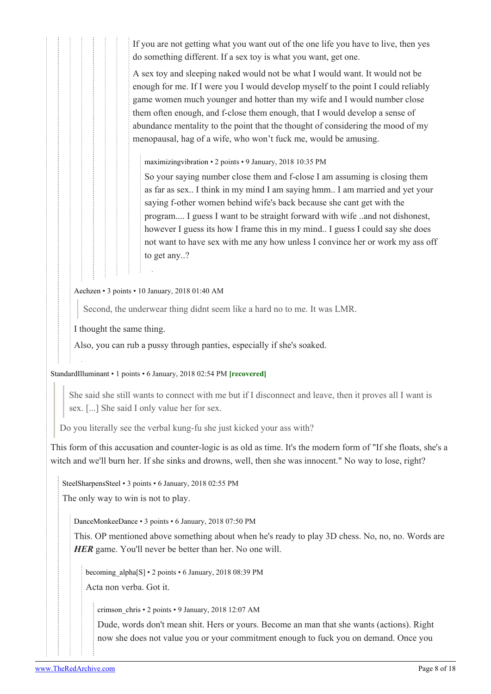If you are not getting what you want out of the one life you have to live, then yes do something different. If a sex toy is what you want, get one.

A sex toy and sleeping naked would not be what I would want. It would not be enough for me. If I were you I would develop myself to the point I could reliably game women much younger and hotter than my wife and I would number close them often enough, and f-close them enough, that I would develop a sense of abundance mentality to the point that the thought of considering the mood of my menopausal, hag of a wife, who won't fuck me, would be amusing.

[maximizingvibration](https://old.reddit.com/user/maximizingvibration) • 2 points • 9 January, 2018 10:35 PM

So your saying number close them and f-close I am assuming is closing them as far as sex.. I think in my mind I am saying hmm.. I am married and yet your saying f-other women behind wife's back because she cant get with the program.... I guess I want to be straight forward with wife ..and not dishonest, however I guess its how I frame this in my mind.. I guess I could say she does not want to have sex with me any how unless I convince her or work my ass off to get any..?

#### [Aechzen](https://old.reddit.com/user/Aechzen) • 3 points • 10 January, 2018 01:40 AM

Second, the underwear thing didnt seem like a hard no to me. It was LMR.

I thought the same thing.

Also, you can rub a pussy through panties, especially if she's soaked.

#### [StandardIlluminant](https://old.reddit.com/user/StandardIlluminant) • 1 points • 6 January, 2018 02:54 PM **[recovered]**

She said she still wants to connect with me but if I disconnect and leave, then it proves all I want is sex. [...] She said I only value her for sex.

Do you literally see the verbal kung-fu she just kicked your ass with?

This form of this accusation and counter-logic is as old as time. It's the modern form of "If she floats, she's a witch and we'll burn her. If she sinks and drowns, well, then she was innocent." No way to lose, right?

[SteelSharpensSteel](https://old.reddit.com/user/SteelSharpensSteel) • 3 points • 6 January, 2018 02:55 PM

The only way to win is not to play.

[DanceMonkeeDance](https://old.reddit.com/user/DanceMonkeeDance) • 3 points • 6 January, 2018 07:50 PM

This. OP mentioned above something about when he's ready to play 3D chess. No, no, no. Words are *HER* game. You'll never be better than her. No one will.

[becoming\\_alpha](https://old.reddit.com/user/becoming_alpha)[\[S](https://theredarchive.com/r/marriedredpill/comments/7og8mr/2_months_in_but_appearing_butthurt/)] • 2 points • 6 January, 2018 08:39 PM

Acta non verba. Got it.

crimson chris • 2 points • 9 January, 2018 12:07 AM

Dude, words don't mean shit. Hers or yours. Become an man that she wants (actions). Right now she does not value you or your commitment enough to fuck you on demand. Once you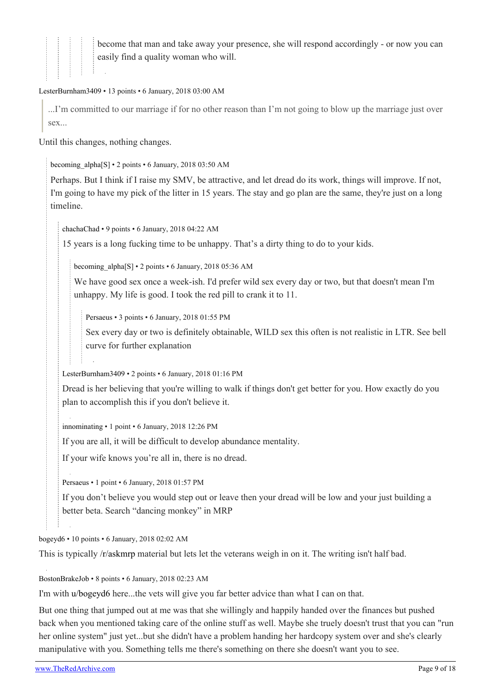become that man and take away your presence, she will respond accordingly - or now you can easily find a quality woman who will.

#### [LesterBurnham3409](https://old.reddit.com/user/LesterBurnham3409) • 13 points • 6 January, 2018 03:00 AM

...I'm committed to our marriage if for no other reason than I'm not going to blow up the marriage just over sex...

Until this changes, nothing changes.

[becoming\\_alpha](https://old.reddit.com/user/becoming_alpha)[\[S\]](https://theredarchive.com/r/marriedredpill/comments/7og8mr/2_months_in_but_appearing_butthurt/) • 2 points • 6 January, 2018 03:50 AM

Perhaps. But I think if I raise my SMV, be attractive, and let dread do its work, things will improve. If not, I'm going to have my pick of the litter in 15 years. The stay and go plan are the same, they're just on a long timeline.

[chachaChad](https://old.reddit.com/user/chachaChad) • 9 points • 6 January, 2018 04:22 AM

15 years is a long fucking time to be unhappy. That's a dirty thing to do to your kids.

[becoming\\_alpha\[](https://old.reddit.com/user/becoming_alpha)[S](https://theredarchive.com/r/marriedredpill/comments/7og8mr/2_months_in_but_appearing_butthurt/)] • 2 points • 6 January, 2018 05:36 AM

We have good sex once a week-ish. I'd prefer wild sex every day or two, but that doesn't mean I'm unhappy. My life is good. I took the red pill to crank it to 11.

[Persaeus](https://old.reddit.com/user/Persaeus) • 3 points • 6 January, 2018 01:55 PM

Sex every day or two is definitely obtainable, WILD sex this often is not realistic in LTR. See bell curve for further explanation

[LesterBurnham3409](https://old.reddit.com/user/LesterBurnham3409) • 2 points • 6 January, 2018 01:16 PM

Dread is her believing that you're willing to walk if things don't get better for you. How exactly do you plan to accomplish this if you don't believe it.

[innominating](https://old.reddit.com/user/innominating) • 1 point • 6 January, 2018 12:26 PM

If you are all, it will be difficult to develop abundance mentality.

If your wife knows you're all in, there is no dread.

[Persaeus](https://old.reddit.com/user/Persaeus) • 1 point • 6 January, 2018 01:57 PM

If you don't believe you would step out or leave then your dread will be low and your just building a better beta. Search "dancing monkey" in MRP

[bogeyd6](https://old.reddit.com/user/bogeyd6) • 10 points • 6 January, 2018 02:02 AM

This is typically [/r/askmrp](https://theredarchive.com/r/askmrp) material but lets let the veterans weigh in on it. The writing isn't half bad.

#### [BostonBrakeJob](https://old.reddit.com/user/BostonBrakeJob) • 8 points • 6 January, 2018 02:23 AM

I'm with [u/bogeyd6](https://theredarchive.com/u/bogeyd6) here...the vets will give you far better advice than what I can on that.

But one thing that jumped out at me was that she willingly and happily handed over the finances but pushed back when you mentioned taking care of the online stuff as well. Maybe she truely doesn't trust that you can "run her online system" just yet...but she didn't have a problem handing her hardcopy system over and she's clearly manipulative with you. Something tells me there's something on there she doesn't want you to see.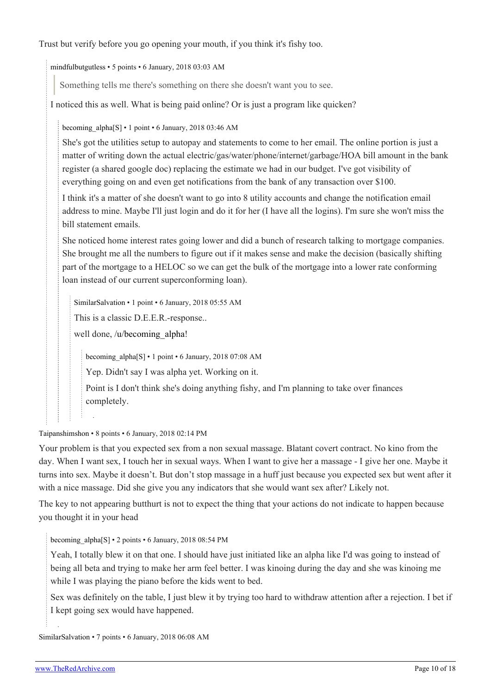Trust but verify before you go opening your mouth, if you think it's fishy too.

[mindfulbutgutless](https://old.reddit.com/user/mindfulbutgutless) • 5 points • 6 January, 2018 03:03 AM

Something tells me there's something on there she doesn't want you to see.

I noticed this as well. What is being paid online? Or is just a program like quicken?

[becoming\\_alpha\[](https://old.reddit.com/user/becoming_alpha)[S\]](https://theredarchive.com/r/marriedredpill/comments/7og8mr/2_months_in_but_appearing_butthurt/) • 1 point • 6 January, 2018 03:46 AM

She's got the utilities setup to autopay and statements to come to her email. The online portion is just a matter of writing down the actual electric/gas/water/phone/internet/garbage/HOA bill amount in the bank register (a shared google doc) replacing the estimate we had in our budget. I've got visibility of everything going on and even get notifications from the bank of any transaction over \$100.

I think it's a matter of she doesn't want to go into 8 utility accounts and change the notification email address to mine. Maybe I'll just login and do it for her (I have all the logins). I'm sure she won't miss the bill statement emails.

She noticed home interest rates going lower and did a bunch of research talking to mortgage companies. She brought me all the numbers to figure out if it makes sense and make the decision (basically shifting part of the mortgage to a HELOC so we can get the bulk of the mortgage into a lower rate conforming loan instead of our current superconforming loan).

[SimilarSalvation](https://old.reddit.com/user/SimilarSalvation) • 1 point • 6 January, 2018 05:55 AM

This is a classic D.E.E.R.-response..

well done, [/u/becoming\\_alpha](https://theredarchive.com/u/becoming_alpha)!

[becoming\\_alpha](https://old.reddit.com/user/becoming_alpha)[\[S](https://theredarchive.com/r/marriedredpill/comments/7og8mr/2_months_in_but_appearing_butthurt/)] • 1 point • 6 January, 2018 07:08 AM

Yep. Didn't say I was alpha yet. Working on it.

Point is I don't think she's doing anything fishy, and I'm planning to take over finances completely.

#### [Taipanshimshon](https://old.reddit.com/user/Taipanshimshon) • 8 points • 6 January, 2018 02:14 PM

Your problem is that you expected sex from a non sexual massage. Blatant covert contract. No kino from the day. When I want sex, I touch her in sexual ways. When I want to give her a massage - I give her one. Maybe it turns into sex. Maybe it doesn't. But don't stop massage in a huff just because you expected sex but went after it with a nice massage. Did she give you any indicators that she would want sex after? Likely not.

The key to not appearing butthurt is not to expect the thing that your actions do not indicate to happen because you thought it in your head

becoming alpha[\[S\]](https://theredarchive.com/r/marriedredpill/comments/7og8mr/2_months_in_but_appearing_butthurt/) • 2 points • 6 January, 2018 08:54 PM

Yeah, I totally blew it on that one. I should have just initiated like an alpha like I'd was going to instead of being all beta and trying to make her arm feel better. I was kinoing during the day and she was kinoing me while I was playing the piano before the kids went to bed.

Sex was definitely on the table, I just blew it by trying too hard to withdraw attention after a rejection. I bet if I kept going sex would have happened.

[SimilarSalvation](https://old.reddit.com/user/SimilarSalvation) • 7 points • 6 January, 2018 06:08 AM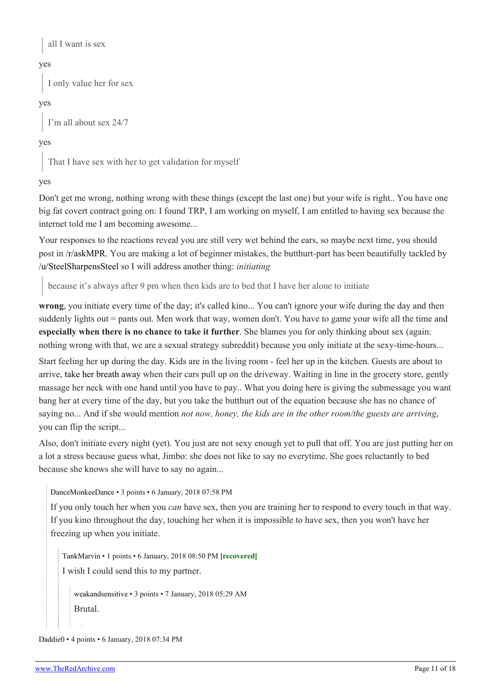all I want is sex

## yes

I only value her for sex

## yes

I'm all about sex 24/7

## yes

That I have sex with her to get validation for myself

## yes

Don't get me wrong, nothing wrong with these things (except the last one) but your wife is right.. You have one big fat covert contract going on: I found TRP, I am working on myself, I am entitled to having sex because the internet told me I am becoming awesome...

Your responses to the reactions reveal you are still very wet behind the ears, so maybe next time, you should post in [/r/askMPR.](https://theredarchive.com/r/askMPR) You are making a lot of beginner mistakes, the butthurt-part has been beautifully tackled by [/u/SteelSharpensSteel](https://theredarchive.com/u/SteelSharpensSteel) so I will address another thing: *initiating*

because it's always after 9 pm when then kids are to bed that I have her alone to initiate

**wrong**, you initiate every time of the day; it's called kino... You can't ignore your wife during the day and then suddenly lights out = pants out. Men work that way, women don't. You have to game your wife all the time and **especially when there is no chance to take it further**. She blames you for only thinking about sex (again: nothing wrong with that, we are a sexual strategy subreddit) because you only initiate at the sexy-time-hours...

Start feeling her up during the day. Kids are in the living room - feel her up in the kitchen. Guests are about to arrive, [take her breath away](https://theredarchive.com/r/marriedredpill/comments/2zt4ul/take_her_breath_away_a_message_about_how_to_kiss/) when their cars pull up on the driveway. Waiting in line in the grocery store, gently massage her neck with one hand until you have to pay.. What you doing here is giving the submessage you want bang her at every time of the day, but you take the butthurt out of the equation because she has no chance of saying no... And if she would mention *not now, honey, the kids are in the other room/the guests are arriving*, you can flip the script...

Also, don't initiate every night (yet). You just are not sexy enough yet to pull that off. You are just putting her on a lot a stress because guess what, Jimbo: she does not like to say no everytime. She goes reluctantly to bed because she knows she will have to say no again...

[DanceMonkeeDance](https://old.reddit.com/user/DanceMonkeeDance) • 3 points • 6 January, 2018 07:58 PM

If you only touch her when you *can* have sex, then you are training her to respond to every touch in that way. If you kino throughout the day, touching her when it is impossible to have sex, then you won't have her freezing up when you initiate.

[TankMarvin](https://old.reddit.com/user/TankMarvin) • 1 points • 6 January, 2018 08:50 PM **[recovered]**

I wish I could send this to my partner.

[weakandsensitive](https://old.reddit.com/user/weakandsensitive) • 3 points • 7 January, 2018 05:29 AM Brutal.

[Daddie0](https://old.reddit.com/user/Daddie0) • 4 points • 6 January, 2018 07:34 PM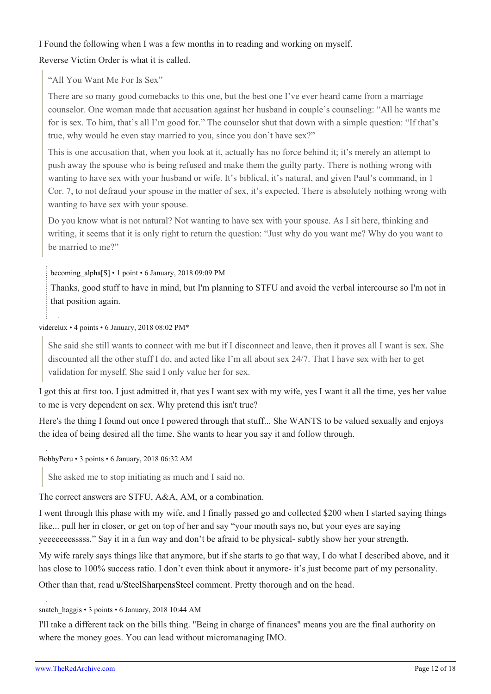## I Found the following when I was a few months in to reading and working on myself.

Reverse Victim Order is what it is called.

"All You Want Me For Is Sex"

There are so many good comebacks to this one, but the best one I've ever heard came from a marriage counselor. One woman made that accusation against her husband in couple's counseling: "All he wants me for is sex. To him, that's all I'm good for." The counselor shut that down with a simple question: "If that's true, why would he even stay married to you, since you don't have sex?"

This is one accusation that, when you look at it, actually has no force behind it; it's merely an attempt to push away the spouse who is being refused and make them the guilty party. There is nothing wrong with wanting to have sex with your husband or wife. It's biblical, it's natural, and given Paul's command, in 1 Cor. 7, to not defraud your spouse in the matter of sex, it's expected. There is absolutely nothing wrong with wanting to have sex with your spouse.

Do you know what is not natural? Not wanting to have sex with your spouse. As I sit here, thinking and writing, it seems that it is only right to return the question: "Just why do you want me? Why do you want to be married to me?"

[becoming\\_alpha](https://old.reddit.com/user/becoming_alpha)[\[S\]](https://theredarchive.com/r/marriedredpill/comments/7og8mr/2_months_in_but_appearing_butthurt/) • 1 point • 6 January, 2018 09:09 PM

Thanks, good stuff to have in mind, but I'm planning to STFU and avoid the verbal intercourse so I'm not in that position again.

#### [viderelux](https://old.reddit.com/user/viderelux) • 4 points • 6 January, 2018 08:02 PM\*

She said she still wants to connect with me but if I disconnect and leave, then it proves all I want is sex. She discounted all the other stuff I do, and acted like I'm all about sex 24/7. That I have sex with her to get validation for myself. She said I only value her for sex.

I got this at first too. I just admitted it, that yes I want sex with my wife, yes I want it all the time, yes her value to me is very dependent on sex. Why pretend this isn't true?

Here's the thing I found out once I powered through that stuff... She WANTS to be valued sexually and enjoys the idea of being desired all the time. She wants to hear you say it and follow through.

#### [BobbyPeru](https://old.reddit.com/user/BobbyPeru) • 3 points • 6 January, 2018 06:32 AM

She asked me to stop initiating as much and I said no.

The correct answers are STFU, A&A, AM, or a combination.

I went through this phase with my wife, and I finally passed go and collected \$200 when I started saying things like... pull her in closer, or get on top of her and say "your mouth says no, but your eyes are saying yeeeeeeesssss." Say it in a fun way and don't be afraid to be physical- subtly show her your strength.

My wife rarely says things like that anymore, but if she starts to go that way, I do what I described above, and it has close to 100% success ratio. I don't even think about it anymore- it's just become part of my personality.

Other than that, read [u/SteelSharpensSteel](https://theredarchive.com/u/SteelSharpensSteel) comment. Pretty thorough and on the head.

[snatch\\_haggis](https://old.reddit.com/user/snatch_haggis) • 3 points • 6 January, 2018 10:44 AM

I'll take a different tack on the bills thing. "Being in charge of finances" means you are the final authority on where the money goes. You can lead without micromanaging IMO.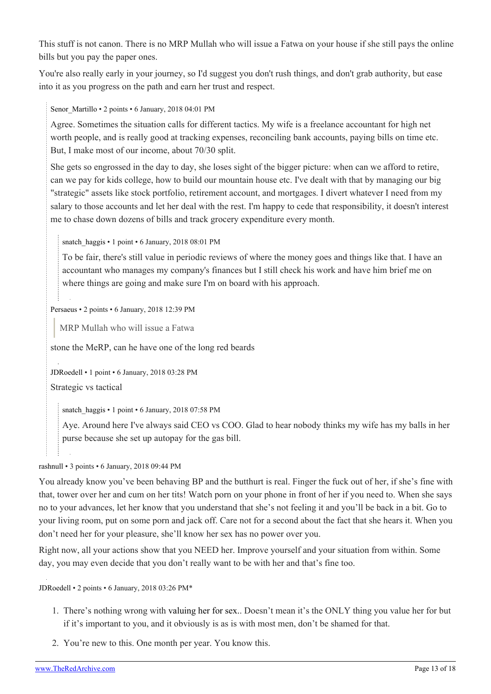This stuff is not canon. There is no MRP Mullah who will issue a Fatwa on your house if she still pays the online bills but you pay the paper ones.

You're also really early in your journey, so I'd suggest you don't rush things, and don't grab authority, but ease into it as you progress on the path and earn her trust and respect.

[Senor\\_Martillo](https://old.reddit.com/user/Senor_Martillo) • 2 points • 6 January, 2018 04:01 PM

Agree. Sometimes the situation calls for different tactics. My wife is a freelance accountant for high net worth people, and is really good at tracking expenses, reconciling bank accounts, paying bills on time etc. But, I make most of our income, about 70/30 split.

She gets so engrossed in the day to day, she loses sight of the bigger picture: when can we afford to retire, can we pay for kids college, how to build our mountain house etc. I've dealt with that by managing our big "strategic" assets like stock portfolio, retirement account, and mortgages. I divert whatever I need from my salary to those accounts and let her deal with the rest. I'm happy to cede that responsibility, it doesn't interest me to chase down dozens of bills and track grocery expenditure every month.

[snatch\\_haggis](https://old.reddit.com/user/snatch_haggis) • 1 point • 6 January, 2018 08:01 PM

To be fair, there's still value in periodic reviews of where the money goes and things like that. I have an accountant who manages my company's finances but I still check his work and have him brief me on where things are going and make sure I'm on board with his approach.

[Persaeus](https://old.reddit.com/user/Persaeus) • 2 points • 6 January, 2018 12:39 PM

MRP Mullah who will issue a Fatwa

stone the MeRP, can he have one of the long red beards

[JDRoedell](https://old.reddit.com/user/JDRoedell) • 1 point • 6 January, 2018 03:28 PM Strategic vs tactical

[snatch\\_haggis](https://old.reddit.com/user/snatch_haggis) • 1 point • 6 January, 2018 07:58 PM

Aye. Around here I've always said CEO vs COO. Glad to hear nobody thinks my wife has my balls in her purse because she set up autopay for the gas bill.

[rashnull](https://old.reddit.com/user/rashnull) • 3 points • 6 January, 2018 09:44 PM

You already know you've been behaving BP and the butthurt is real. Finger the fuck out of her, if she's fine with that, tower over her and cum on her tits! Watch porn on your phone in front of her if you need to. When she says no to your advances, let her know that you understand that she's not feeling it and you'll be back in a bit. Go to your living room, put on some porn and jack off. Care not for a second about the fact that she hears it. When you don't need her for your pleasure, she'll know her sex has no power over you.

Right now, all your actions show that you NEED her. Improve yourself and your situation from within. Some day, you may even decide that you don't really want to be with her and that's fine too.

[JDRoedell](https://old.reddit.com/user/JDRoedell) • 2 points • 6 January, 2018 03:26 PM\*

- 1. There's nothing wrong with [valuing her for sex..](https://www.google.com/amp/s/amp.reddit.com/r/marriedredpill/comments/7fh7rv/owning_your_desires_without_negotiating_hers/) Doesn't mean it's the ONLY thing you value her for but if it's important to you, and it obviously is as is with most men, don't be shamed for that.
- 2. You're new to this. One month per year. You know this.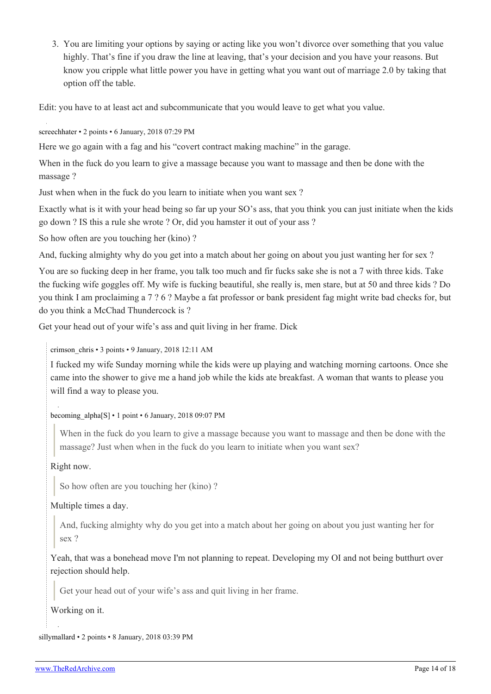3. You are limiting your options by saying or acting like you won't divorce over something that you value highly. That's fine if you draw the line at leaving, that's your decision and you have your reasons. But know you cripple what little power you have in getting what you want out of marriage 2.0 by taking that option off the table.

Edit: you have to at least act and subcommunicate that you would leave to get what you value.

[screechhater](https://old.reddit.com/user/screechhater) • 2 points • 6 January, 2018 07:29 PM

Here we go again with a fag and his "covert contract making machine" in the garage.

When in the fuck do you learn to give a massage because you want to massage and then be done with the massage ?

Just when when in the fuck do you learn to initiate when you want sex ?

Exactly what is it with your head being so far up your SO's ass, that you think you can just initiate when the kids go down ? IS this a rule she wrote ? Or, did you hamster it out of your ass ?

So how often are you touching her (kino) ?

And, fucking almighty why do you get into a match about her going on about you just wanting her for sex ?

You are so fucking deep in her frame, you talk too much and fir fucks sake she is not a 7 with three kids. Take the fucking wife goggles off. My wife is fucking beautiful, she really is, men stare, but at 50 and three kids ? Do you think I am proclaiming a 7 ? 6 ? Maybe a fat professor or bank president fag might write bad checks for, but do you think a McChad Thundercock is ?

Get your head out of your wife's ass and quit living in her frame. Dick

[crimson\\_chris](https://old.reddit.com/user/crimson_chris) • 3 points • 9 January, 2018 12:11 AM

I fucked my wife Sunday morning while the kids were up playing and watching morning cartoons. Once she came into the shower to give me a hand job while the kids ate breakfast. A woman that wants to please you will find a way to please you.

becoming  $alpha[S] \cdot 1$  $alpha[S] \cdot 1$  $alpha[S] \cdot 1$  point  $\cdot 6$  January, 2018 09:07 PM

When in the fuck do you learn to give a massage because you want to massage and then be done with the massage? Just when when in the fuck do you learn to initiate when you want sex?

Right now.

So how often are you touching her (kino) ?

Multiple times a day.

And, fucking almighty why do you get into a match about her going on about you just wanting her for sex ?

Yeah, that was a bonehead move I'm not planning to repeat. Developing my OI and not being butthurt over rejection should help.

Get your head out of your wife's ass and quit living in her frame.

Working on it.

[sillymallard](https://old.reddit.com/user/sillymallard) • 2 points • 8 January, 2018 03:39 PM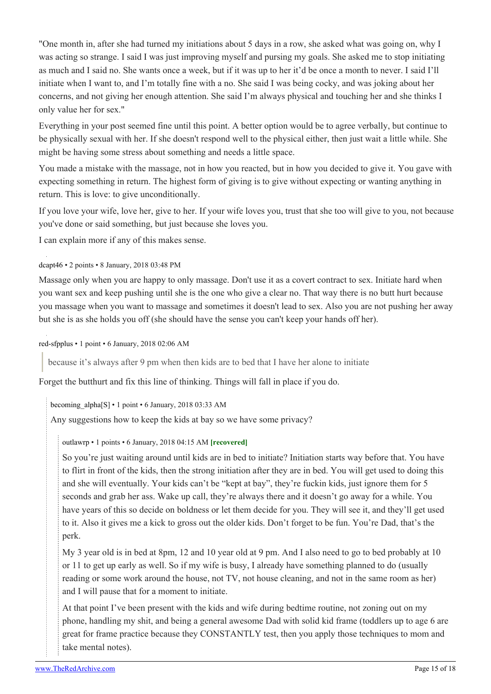"One month in, after she had turned my initiations about 5 days in a row, she asked what was going on, why I was acting so strange. I said I was just improving myself and pursing my goals. She asked me to stop initiating as much and I said no. She wants once a week, but if it was up to her it'd be once a month to never. I said I'll initiate when I want to, and I'm totally fine with a no. She said I was being cocky, and was joking about her concerns, and not giving her enough attention. She said I'm always physical and touching her and she thinks I only value her for sex."

Everything in your post seemed fine until this point. A better option would be to agree verbally, but continue to be physically sexual with her. If she doesn't respond well to the physical either, then just wait a little while. She might be having some stress about something and needs a little space.

You made a mistake with the massage, not in how you reacted, but in how you decided to give it. You gave with expecting something in return. The highest form of giving is to give without expecting or wanting anything in return. This is love: to give unconditionally.

If you love your wife, love her, give to her. If your wife loves you, trust that she too will give to you, not because you've done or said something, but just because she loves you.

I can explain more if any of this makes sense.

#### [dcapt46](https://old.reddit.com/user/dcapt46) • 2 points • 8 January, 2018 03:48 PM

Massage only when you are happy to only massage. Don't use it as a covert contract to sex. Initiate hard when you want sex and keep pushing until she is the one who give a clear no. That way there is no butt hurt because you massage when you want to massage and sometimes it doesn't lead to sex. Also you are not pushing her away but she is as she holds you off (she should have the sense you can't keep your hands off her).

[red-sfpplus](https://old.reddit.com/user/red-sfpplus) • 1 point • 6 January, 2018 02:06 AM

because it's always after 9 pm when then kids are to bed that I have her alone to initiate

Forget the butthurt and fix this line of thinking. Things will fall in place if you do.

#### becoming  $alpha[S] \cdot 1$  $alpha[S] \cdot 1$  $alpha[S] \cdot 1$  point  $\cdot 6$  January, 2018 03:33 AM

Any suggestions how to keep the kids at bay so we have some privacy?

#### [outlawrp](https://old.reddit.com/user/outlawrp) • 1 points • 6 January, 2018 04:15 AM **[recovered]**

So you're just waiting around until kids are in bed to initiate? Initiation starts way before that. You have to flirt in front of the kids, then the strong initiation after they are in bed. You will get used to doing this and she will eventually. Your kids can't be "kept at bay", they're fuckin kids, just ignore them for 5 seconds and grab her ass. Wake up call, they're always there and it doesn't go away for a while. You have years of this so decide on boldness or let them decide for you. They will see it, and they'll get used to it. Also it gives me a kick to gross out the older kids. Don't forget to be fun. You're Dad, that's the perk.

My 3 year old is in bed at 8pm, 12 and 10 year old at 9 pm. And I also need to go to bed probably at 10 or 11 to get up early as well. So if my wife is busy, I already have something planned to do (usually reading or some work around the house, not TV, not house cleaning, and not in the same room as her) and I will pause that for a moment to initiate.

At that point I've been present with the kids and wife during bedtime routine, not zoning out on my phone, handling my shit, and being a general awesome Dad with solid kid frame (toddlers up to age 6 are great for frame practice because they CONSTANTLY test, then you apply those techniques to mom and take mental notes).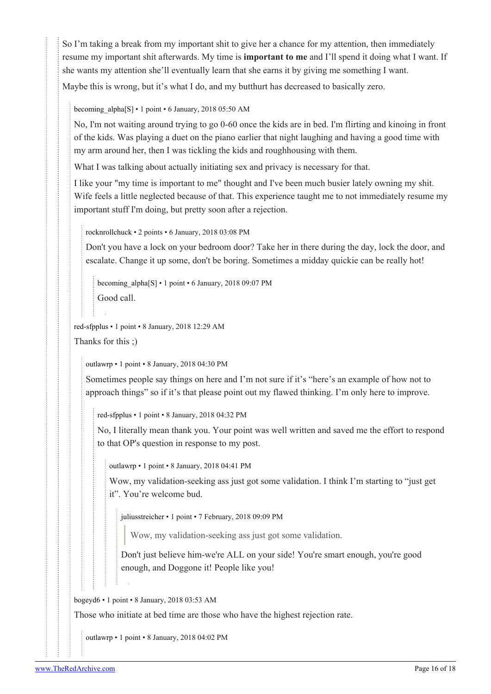So I'm taking a break from my important shit to give her a chance for my attention, then immediately resume my important shit afterwards. My time is **important to me** and I'll spend it doing what I want. If she wants my attention she'll eventually learn that she earns it by giving me something I want.

Maybe this is wrong, but it's what I do, and my butthurt has decreased to basically zero.

becoming  $alpha[S] \cdot 1$  $alpha[S] \cdot 1$  $alpha[S] \cdot 1$  point  $\cdot 6$  January, 2018 05:50 AM

No, I'm not waiting around trying to go 0-60 once the kids are in bed. I'm flirting and kinoing in front of the kids. Was playing a duet on the piano earlier that night laughing and having a good time with my arm around her, then I was tickling the kids and roughhousing with them.

What I was talking about actually initiating sex and privacy is necessary for that.

I like your "my time is important to me" thought and I've been much busier lately owning my shit. Wife feels a little neglected because of that. This experience taught me to not immediately resume my important stuff I'm doing, but pretty soon after a rejection.

[rocknrollchuck](https://old.reddit.com/user/rocknrollchuck) • 2 points • 6 January, 2018 03:08 PM

Don't you have a lock on your bedroom door? Take her in there during the day, lock the door, and escalate. Change it up some, don't be boring. Sometimes a midday quickie can be really hot!

becoming  $alpha[S] \cdot 1$  $alpha[S] \cdot 1$  $alpha[S] \cdot 1$  point  $\cdot 6$  January, 2018 09:07 PM Good call.

[red-sfpplus](https://old.reddit.com/user/red-sfpplus) • 1 point • 8 January, 2018 12:29 AM

Thanks for this ;)

[outlawrp](https://old.reddit.com/user/outlawrp) • 1 point • 8 January, 2018 04:30 PM

Sometimes people say things on here and I'm not sure if it's "here's an example of how not to approach things" so if it's that please point out my flawed thinking. I'm only here to improve.

[red-sfpplus](https://old.reddit.com/user/red-sfpplus) • 1 point • 8 January, 2018 04:32 PM

No, I literally mean thank you. Your point was well written and saved me the effort to respond to that OP's question in response to my post.

[outlawrp](https://old.reddit.com/user/outlawrp) • 1 point • 8 January, 2018 04:41 PM

Wow, my validation-seeking ass just got some validation. I think I'm starting to "just get it". You're welcome bud.

[juliusstreicher](https://old.reddit.com/user/juliusstreicher) • 1 point • 7 February, 2018 09:09 PM

Wow, my validation-seeking ass just got some validation.

Don't just believe him-we're ALL on your side! You're smart enough, you're good enough, and Doggone it! People like you!

[bogeyd6](https://old.reddit.com/user/bogeyd6) • 1 point • 8 January, 2018 03:53 AM

Those who initiate at bed time are those who have the highest rejection rate.

[outlawrp](https://old.reddit.com/user/outlawrp) • 1 point • 8 January, 2018 04:02 PM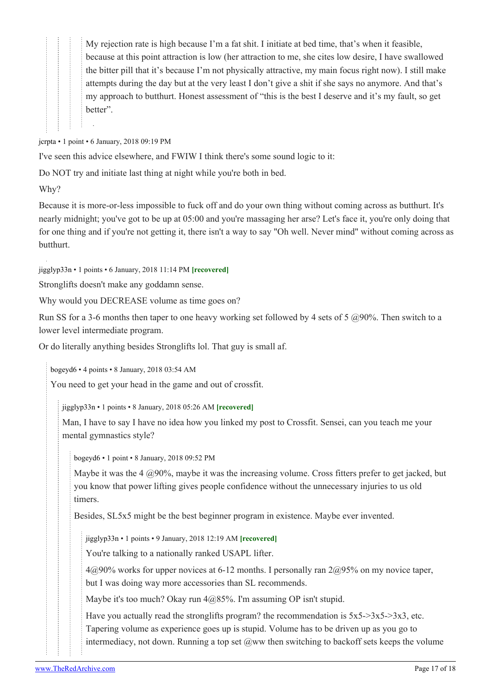My rejection rate is high because I'm a fat shit. I initiate at bed time, that's when it feasible, because at this point attraction is low (her attraction to me, she cites low desire, I have swallowed the bitter pill that it's because I'm not physically attractive, my main focus right now). I still make attempts during the day but at the very least I don't give a shit if she says no anymore. And that's my approach to butthurt. Honest assessment of "this is the best I deserve and it's my fault, so get better".

[jcrpta](https://old.reddit.com/user/jcrpta) • 1 point • 6 January, 2018 09:19 PM

I've seen this advice elsewhere, and FWIW I think there's some sound logic to it:

Do NOT try and initiate last thing at night while you're both in bed.

Why?

Because it is more-or-less impossible to fuck off and do your own thing without coming across as butthurt. It's nearly midnight; you've got to be up at 05:00 and you're massaging her arse? Let's face it, you're only doing that for one thing and if you're not getting it, there isn't a way to say "Oh well. Never mind" without coming across as butthurt.

[jigglyp33n](https://old.reddit.com/user/jigglyp33n) • 1 points • 6 January, 2018 11:14 PM **[recovered]**

Stronglifts doesn't make any goddamn sense.

Why would you DECREASE volume as time goes on?

Run SS for a 3-6 months then taper to one heavy working set followed by 4 sets of 5  $@90\%$ . Then switch to a lower level intermediate program.

Or do literally anything besides Stronglifts lol. That guy is small af.

[bogeyd6](https://old.reddit.com/user/bogeyd6) • 4 points • 8 January, 2018 03:54 AM

You need to get your head in the game and out of crossfit.

[jigglyp33n](https://old.reddit.com/user/jigglyp33n) • 1 points • 8 January, 2018 05:26 AM **[recovered]**

Man, I have to say I have no idea how you linked my post to Crossfit. Sensei, can you teach me your mental gymnastics style?

[bogeyd6](https://old.reddit.com/user/bogeyd6) • 1 point • 8 January, 2018 09:52 PM

Maybe it was the 4  $\omega$ 90%, maybe it was the increasing volume. Cross fitters prefer to get jacked, but you know that power lifting gives people confidence without the unnecessary injuries to us old timers.

Besides, SL5x5 might be the best beginner program in existence. Maybe ever invented.

[jigglyp33n](https://old.reddit.com/user/jigglyp33n) • 1 points • 9 January, 2018 12:19 AM **[recovered]**

You're talking to a nationally ranked USAPL lifter.

 $4@90\%$  works for upper novices at 6-12 months. I personally ran  $2@95\%$  on my novice taper, but I was doing way more accessories than SL recommends.

Maybe it's too much? Okay run 4@85%. I'm assuming OP isn't stupid.

Have you actually read the stronglifts program? the recommendation is  $5x5 \rightarrow 3x5 \rightarrow 3x3$ , etc. Tapering volume as experience goes up is stupid. Volume has to be driven up as you go to intermediacy, not down. Running a top set  $@ww$  then switching to backoff sets keeps the volume